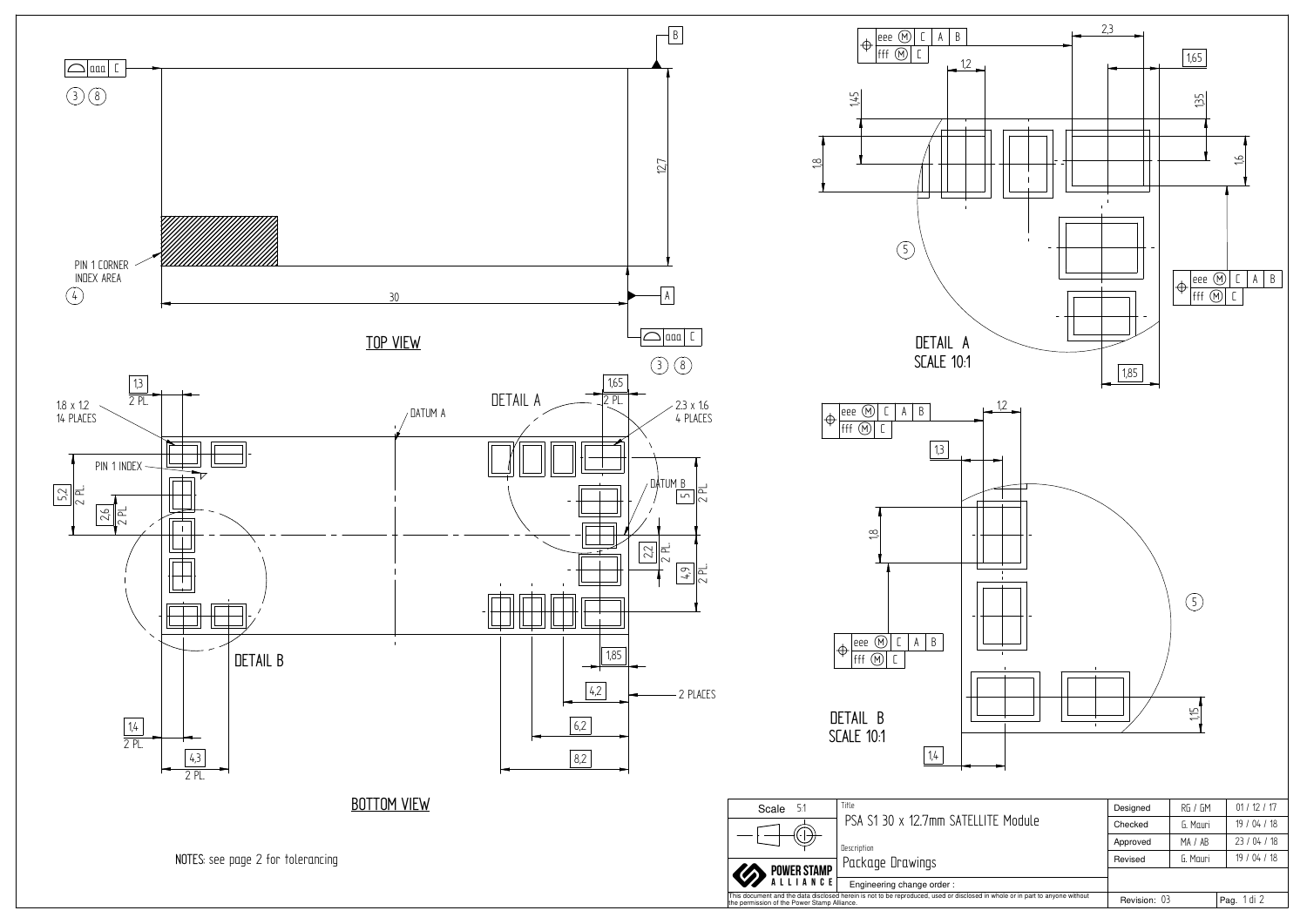